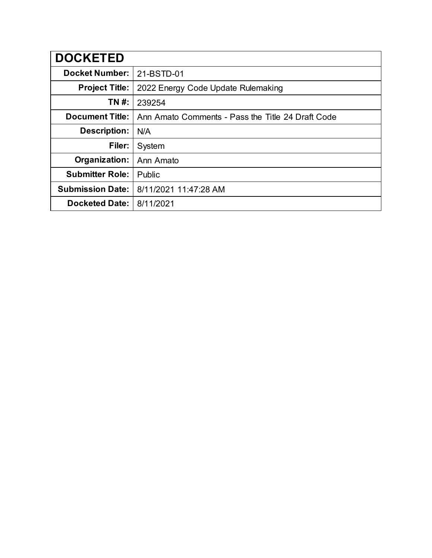| <b>DOCKETED</b>         |                                                   |
|-------------------------|---------------------------------------------------|
| <b>Docket Number:</b>   | 21-BSTD-01                                        |
| <b>Project Title:</b>   | 2022 Energy Code Update Rulemaking                |
| TN #:                   | 239254                                            |
| <b>Document Title:</b>  | Ann Amato Comments - Pass the Title 24 Draft Code |
| <b>Description:</b>     | N/A                                               |
| Filer:                  | System                                            |
| Organization:           | Ann Amato                                         |
| <b>Submitter Role:</b>  | Public                                            |
| <b>Submission Date:</b> | 8/11/2021 11:47:28 AM                             |
| <b>Docketed Date:</b>   | 8/11/2021                                         |